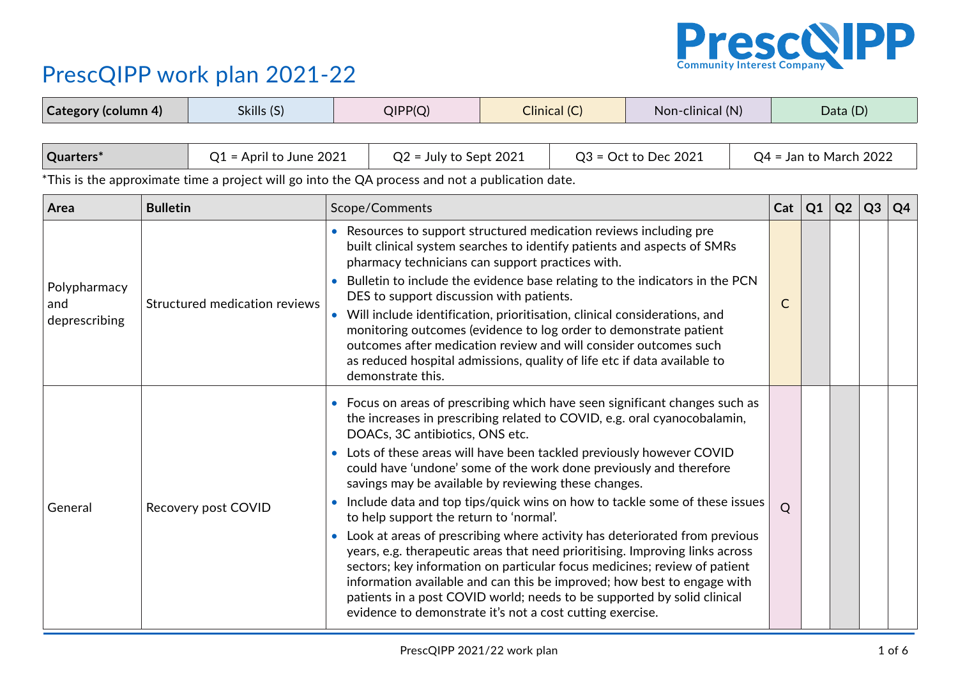

| <b>Category (column 4)</b>                                                                                                                |                 | Skills (S)                    |                                                                                                                                                                                                                                                                                                                                                                                                                                                                                                                                                                                                                                                                  | QIPP(Q)                                                                                                                                                                                                                                                                                                                                                                                                                                                                                                                                                                                                                                                                                                                                                                                                                                                                                                                                                                                    |                        | Clinical (C) | Non-clinical (N) |              | Data (D)       |                          |                |                |    |  |  |
|-------------------------------------------------------------------------------------------------------------------------------------------|-----------------|-------------------------------|------------------------------------------------------------------------------------------------------------------------------------------------------------------------------------------------------------------------------------------------------------------------------------------------------------------------------------------------------------------------------------------------------------------------------------------------------------------------------------------------------------------------------------------------------------------------------------------------------------------------------------------------------------------|--------------------------------------------------------------------------------------------------------------------------------------------------------------------------------------------------------------------------------------------------------------------------------------------------------------------------------------------------------------------------------------------------------------------------------------------------------------------------------------------------------------------------------------------------------------------------------------------------------------------------------------------------------------------------------------------------------------------------------------------------------------------------------------------------------------------------------------------------------------------------------------------------------------------------------------------------------------------------------------------|------------------------|--------------|------------------|--------------|----------------|--------------------------|----------------|----------------|----|--|--|
| Quarters*<br>$Q1$ = April to June 2021<br>*This is the approximate time a project will go into the QA process and not a publication date. |                 |                               | $Q2$ = July to Sept 2021                                                                                                                                                                                                                                                                                                                                                                                                                                                                                                                                                                                                                                         |                                                                                                                                                                                                                                                                                                                                                                                                                                                                                                                                                                                                                                                                                                                                                                                                                                                                                                                                                                                            | $Q3 = Oct$ to Dec 2021 |              |                  |              |                | $Q4 =$ Jan to March 2022 |                |                |    |  |  |
| Area                                                                                                                                      | <b>Bulletin</b> |                               |                                                                                                                                                                                                                                                                                                                                                                                                                                                                                                                                                                                                                                                                  | Scope/Comments                                                                                                                                                                                                                                                                                                                                                                                                                                                                                                                                                                                                                                                                                                                                                                                                                                                                                                                                                                             |                        |              |                  |              | Cat            | Q1                       | Q <sub>2</sub> | Q <sub>3</sub> | Q4 |  |  |
| Polypharmacy<br>and<br>deprescribing                                                                                                      |                 | Structured medication reviews | • Resources to support structured medication reviews including pre<br>built clinical system searches to identify patients and aspects of SMRs<br>pharmacy technicians can support practices with.<br>Bulletin to include the evidence base relating to the indicators in the PCN<br>$\bullet$<br>DES to support discussion with patients.<br>Will include identification, prioritisation, clinical considerations, and<br>monitoring outcomes (evidence to log order to demonstrate patient<br>outcomes after medication review and will consider outcomes such<br>as reduced hospital admissions, quality of life etc if data available to<br>demonstrate this. |                                                                                                                                                                                                                                                                                                                                                                                                                                                                                                                                                                                                                                                                                                                                                                                                                                                                                                                                                                                            |                        |              |                  | $\mathsf{C}$ |                |                          |                |                |    |  |  |
| General                                                                                                                                   |                 | Recovery post COVID           | $\bullet$                                                                                                                                                                                                                                                                                                                                                                                                                                                                                                                                                                                                                                                        | • Focus on areas of prescribing which have seen significant changes such as<br>the increases in prescribing related to COVID, e.g. oral cyanocobalamin,<br>DOACs, 3C antibiotics, ONS etc.<br>• Lots of these areas will have been tackled previously however COVID<br>could have 'undone' some of the work done previously and therefore<br>savings may be available by reviewing these changes.<br>Include data and top tips/quick wins on how to tackle some of these issues<br>to help support the return to 'normal'.<br>• Look at areas of prescribing where activity has deteriorated from previous<br>years, e.g. therapeutic areas that need prioritising. Improving links across<br>sectors; key information on particular focus medicines; review of patient<br>information available and can this be improved; how best to engage with<br>patients in a post COVID world; needs to be supported by solid clinical<br>evidence to demonstrate it's not a cost cutting exercise. |                        |              |                  |              | $\overline{Q}$ |                          |                |                |    |  |  |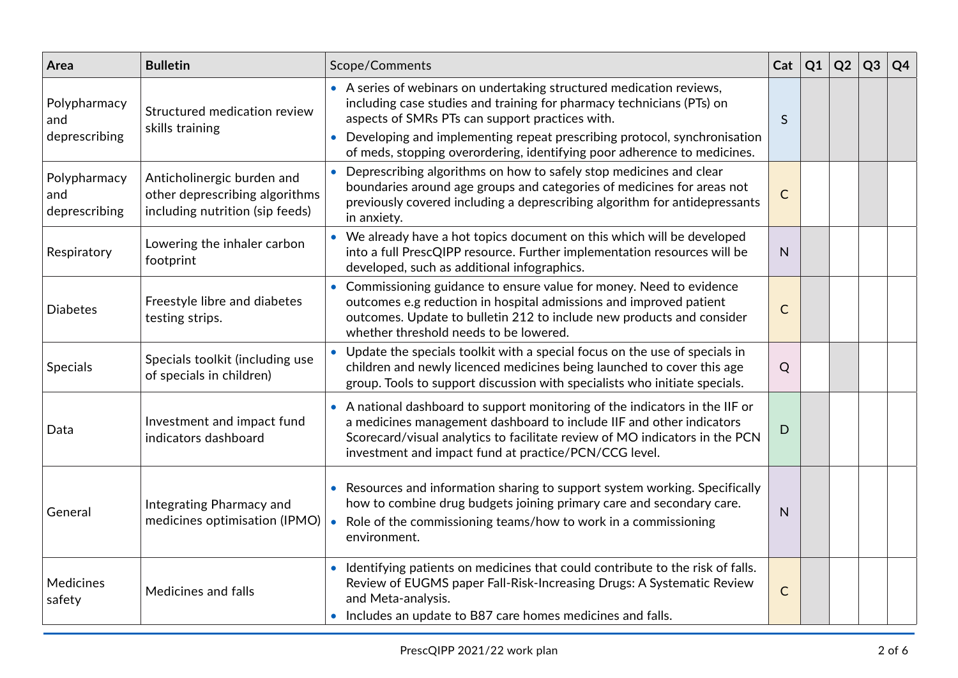| Area                                 | <b>Bulletin</b>                                                                                 | Scope/Comments                                                                                                                                                                                                                                                                               | Cat          | Q1 | Q <sub>2</sub> | Q <sub>3</sub> | Q <sub>4</sub> |
|--------------------------------------|-------------------------------------------------------------------------------------------------|----------------------------------------------------------------------------------------------------------------------------------------------------------------------------------------------------------------------------------------------------------------------------------------------|--------------|----|----------------|----------------|----------------|
| Polypharmacy<br>and<br>deprescribing | Structured medication review<br>skills training                                                 | • A series of webinars on undertaking structured medication reviews,<br>including case studies and training for pharmacy technicians (PTs) on<br>aspects of SMRs PTs can support practices with.                                                                                             | S            |    |                |                |                |
|                                      |                                                                                                 | Developing and implementing repeat prescribing protocol, synchronisation<br>of meds, stopping overordering, identifying poor adherence to medicines.                                                                                                                                         |              |    |                |                |                |
| Polypharmacy<br>and<br>deprescribing | Anticholinergic burden and<br>other deprescribing algorithms<br>including nutrition (sip feeds) | Deprescribing algorithms on how to safely stop medicines and clear<br>boundaries around age groups and categories of medicines for areas not<br>previously covered including a deprescribing algorithm for antidepressants<br>in anxiety.                                                    | $\mathsf{C}$ |    |                |                |                |
| Respiratory                          | Lowering the inhaler carbon<br>footprint                                                        | • We already have a hot topics document on this which will be developed<br>into a full PrescQIPP resource. Further implementation resources will be<br>developed, such as additional infographics.                                                                                           | N            |    |                |                |                |
| <b>Diabetes</b>                      | Freestyle libre and diabetes<br>testing strips.                                                 | • Commissioning guidance to ensure value for money. Need to evidence<br>outcomes e.g reduction in hospital admissions and improved patient<br>outcomes. Update to bulletin 212 to include new products and consider<br>whether threshold needs to be lowered.                                | $\mathsf{C}$ |    |                |                |                |
| <b>Specials</b>                      | Specials toolkit (including use<br>of specials in children)                                     | • Update the specials toolkit with a special focus on the use of specials in<br>children and newly licenced medicines being launched to cover this age<br>group. Tools to support discussion with specialists who initiate specials.                                                         | Q            |    |                |                |                |
| Data                                 | Investment and impact fund<br>indicators dashboard                                              | • A national dashboard to support monitoring of the indicators in the IIF or<br>a medicines management dashboard to include IIF and other indicators<br>Scorecard/visual analytics to facilitate review of MO indicators in the PCN<br>investment and impact fund at practice/PCN/CCG level. | D            |    |                |                |                |
| General                              | Integrating Pharmacy and<br>medicines optimisation (IPMO)                                       | • Resources and information sharing to support system working. Specifically<br>how to combine drug budgets joining primary care and secondary care.<br>Role of the commissioning teams/how to work in a commissioning<br>environment.                                                        | N            |    |                |                |                |
| Medicines<br>safety                  | Medicines and falls                                                                             | • Identifying patients on medicines that could contribute to the risk of falls.<br>Review of EUGMS paper Fall-Risk-Increasing Drugs: A Systematic Review<br>and Meta-analysis.<br>• Includes an update to B87 care homes medicines and falls.                                                | $\mathsf{C}$ |    |                |                |                |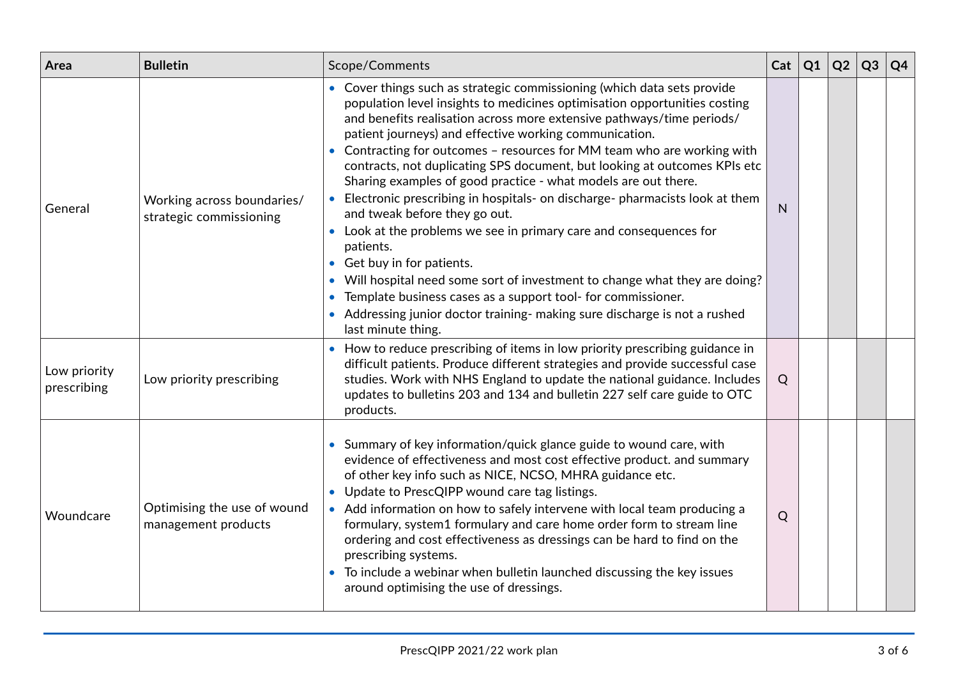| Area                        | <b>Bulletin</b>                                       | Scope/Comments                                                                                                                                                                                                                                                                                                                                                                                                                                                                                                                                                                                                                                                                                                                                                                                                                                                                                                                                                                                    | Cat | Q1 | Q2 | Q3 | Q4 |
|-----------------------------|-------------------------------------------------------|---------------------------------------------------------------------------------------------------------------------------------------------------------------------------------------------------------------------------------------------------------------------------------------------------------------------------------------------------------------------------------------------------------------------------------------------------------------------------------------------------------------------------------------------------------------------------------------------------------------------------------------------------------------------------------------------------------------------------------------------------------------------------------------------------------------------------------------------------------------------------------------------------------------------------------------------------------------------------------------------------|-----|----|----|----|----|
| General                     | Working across boundaries/<br>strategic commissioning | • Cover things such as strategic commissioning (which data sets provide<br>population level insights to medicines optimisation opportunities costing<br>and benefits realisation across more extensive pathways/time periods/<br>patient journeys) and effective working communication.<br>Contracting for outcomes - resources for MM team who are working with<br>contracts, not duplicating SPS document, but looking at outcomes KPIs etc<br>Sharing examples of good practice - what models are out there.<br>Electronic prescribing in hospitals- on discharge- pharmacists look at them<br>and tweak before they go out.<br>• Look at the problems we see in primary care and consequences for<br>patients.<br>• Get buy in for patients.<br>Will hospital need some sort of investment to change what they are doing?<br>Template business cases as a support tool- for commissioner.<br>• Addressing junior doctor training- making sure discharge is not a rushed<br>last minute thing. | N   |    |    |    |    |
| Low priority<br>prescribing | Low priority prescribing                              | • How to reduce prescribing of items in low priority prescribing guidance in<br>difficult patients. Produce different strategies and provide successful case<br>studies. Work with NHS England to update the national guidance. Includes<br>updates to bulletins 203 and 134 and bulletin 227 self care guide to OTC<br>products.                                                                                                                                                                                                                                                                                                                                                                                                                                                                                                                                                                                                                                                                 | Q   |    |    |    |    |
| Woundcare                   | Optimising the use of wound<br>management products    | • Summary of key information/quick glance guide to wound care, with<br>evidence of effectiveness and most cost effective product. and summary<br>of other key info such as NICE, NCSO, MHRA guidance etc.<br>• Update to PrescQIPP wound care tag listings.<br>• Add information on how to safely intervene with local team producing a<br>formulary, system1 formulary and care home order form to stream line<br>ordering and cost effectiveness as dressings can be hard to find on the<br>prescribing systems.<br>• To include a webinar when bulletin launched discussing the key issues<br>around optimising the use of dressings.                                                                                                                                                                                                                                                                                                                                                          | Q   |    |    |    |    |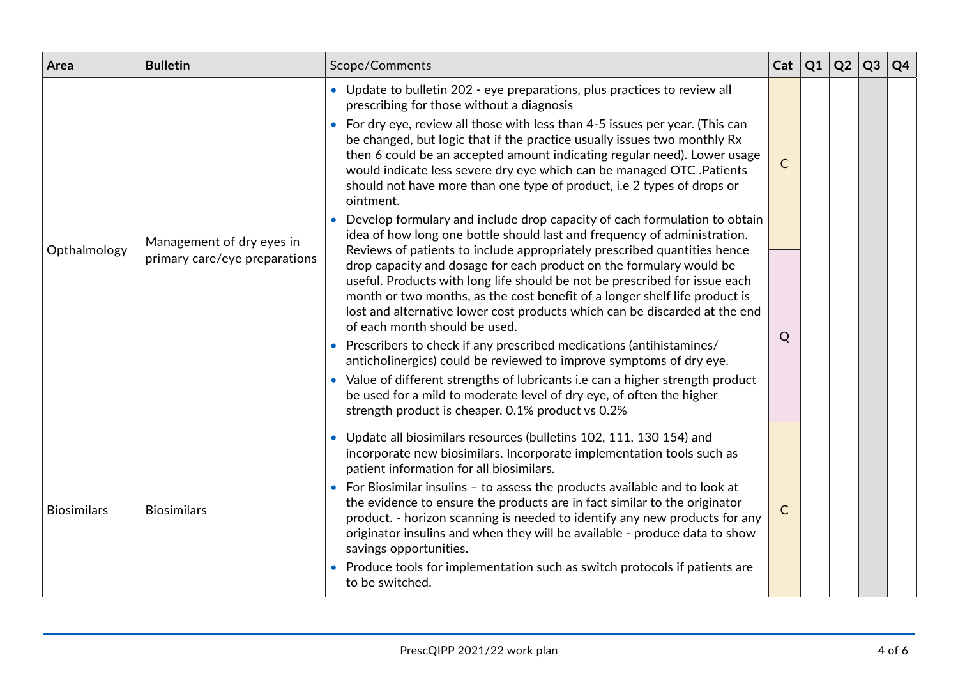|                               | • Update to bulletin 202 - eye preparations, plus practices to review all<br>prescribing for those without a diagnosis                                                                                                                                                                                                                                                                                                                                                                                                                                                                                                                                                                                                                                                                    |                 |  |  |
|-------------------------------|-------------------------------------------------------------------------------------------------------------------------------------------------------------------------------------------------------------------------------------------------------------------------------------------------------------------------------------------------------------------------------------------------------------------------------------------------------------------------------------------------------------------------------------------------------------------------------------------------------------------------------------------------------------------------------------------------------------------------------------------------------------------------------------------|-----------------|--|--|
|                               | • For dry eye, review all those with less than 4-5 issues per year. (This can<br>be changed, but logic that if the practice usually issues two monthly Rx<br>then 6 could be an accepted amount indicating regular need). Lower usage<br>would indicate less severe dry eye which can be managed OTC .Patients<br>should not have more than one type of product, i.e 2 types of drops or<br>ointment.                                                                                                                                                                                                                                                                                                                                                                                     | $\mathsf{C}$    |  |  |
|                               | Develop formulary and include drop capacity of each formulation to obtain<br>idea of how long one bottle should last and frequency of administration.                                                                                                                                                                                                                                                                                                                                                                                                                                                                                                                                                                                                                                     |                 |  |  |
| primary care/eye preparations | Reviews of patients to include appropriately prescribed quantities hence<br>drop capacity and dosage for each product on the formulary would be<br>useful. Products with long life should be not be prescribed for issue each<br>month or two months, as the cost benefit of a longer shelf life product is<br>lost and alternative lower cost products which can be discarded at the end<br>of each month should be used.<br>• Prescribers to check if any prescribed medications (antihistamines/<br>anticholinergics) could be reviewed to improve symptoms of dry eye.<br>• Value of different strengths of lubricants i.e can a higher strength product<br>be used for a mild to moderate level of dry eye, of often the higher<br>strength product is cheaper. 0.1% product vs 0.2% | Q               |  |  |
| <b>Biosimilars</b>            | Update all biosimilars resources (bulletins 102, 111, 130 154) and<br>incorporate new biosimilars. Incorporate implementation tools such as<br>patient information for all biosimilars.<br>• For Biosimilar insulins - to assess the products available and to look at<br>the evidence to ensure the products are in fact similar to the originator<br>product. - horizon scanning is needed to identify any new products for any<br>originator insulins and when they will be available - produce data to show<br>savings opportunities.<br>• Produce tools for implementation such as switch protocols if patients are                                                                                                                                                                  | $\mathsf{C}$    |  |  |
|                               | Management of dry eyes in                                                                                                                                                                                                                                                                                                                                                                                                                                                                                                                                                                                                                                                                                                                                                                 | to be switched. |  |  |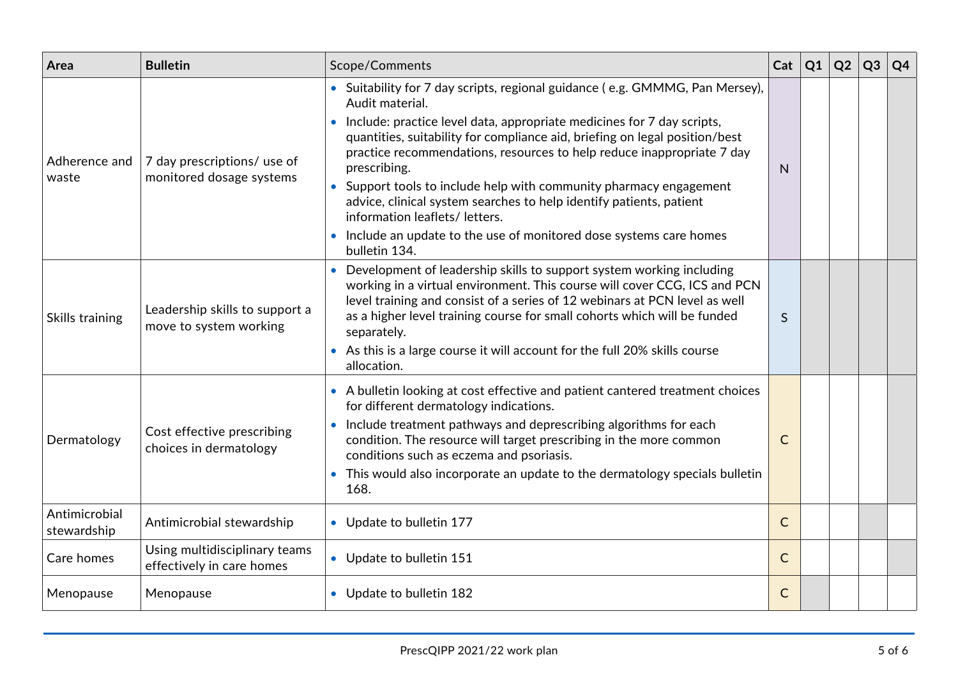| Area                         | <b>Bulletin</b>                                            | Scope/Comments                                                                                                                                                                                                                                                                                                                                                                                                                                                                                                                                                                                                              | Cat          | $ _{\rm Q1}$ | Q2 | Q <sub>3</sub> | Q4 |
|------------------------------|------------------------------------------------------------|-----------------------------------------------------------------------------------------------------------------------------------------------------------------------------------------------------------------------------------------------------------------------------------------------------------------------------------------------------------------------------------------------------------------------------------------------------------------------------------------------------------------------------------------------------------------------------------------------------------------------------|--------------|--------------|----|----------------|----|
| Adherence and<br>waste       | 7 day prescriptions/ use of<br>monitored dosage systems    | • Suitability for 7 day scripts, regional guidance (e.g. GMMMG, Pan Mersey),<br>Audit material.<br>• Include: practice level data, appropriate medicines for 7 day scripts,<br>quantities, suitability for compliance aid, briefing on legal position/best<br>practice recommendations, resources to help reduce inappropriate 7 day<br>prescribing.<br>• Support tools to include help with community pharmacy engagement<br>advice, clinical system searches to help identify patients, patient<br>information leaflets/ letters.<br>• Include an update to the use of monitored dose systems care homes<br>bulletin 134. | N            |              |    |                |    |
| Skills training              | Leadership skills to support a<br>move to system working   | • Development of leadership skills to support system working including<br>working in a virtual environment. This course will cover CCG, ICS and PCN<br>level training and consist of a series of 12 webinars at PCN level as well<br>as a higher level training course for small cohorts which will be funded<br>separately.<br>• As this is a large course it will account for the full 20% skills course<br>allocation.                                                                                                                                                                                                   | $\mathsf{S}$ |              |    |                |    |
| Dermatology                  | Cost effective prescribing<br>choices in dermatology       | • A bulletin looking at cost effective and patient cantered treatment choices<br>for different dermatology indications.<br>• Include treatment pathways and deprescribing algorithms for each<br>condition. The resource will target prescribing in the more common<br>conditions such as eczema and psoriasis.<br>• This would also incorporate an update to the dermatology specials bulletin<br>168.                                                                                                                                                                                                                     | $\mathsf{C}$ |              |    |                |    |
| Antimicrobial<br>stewardship | Antimicrobial stewardship                                  | • Update to bulletin 177                                                                                                                                                                                                                                                                                                                                                                                                                                                                                                                                                                                                    | $\mathsf{C}$ |              |    |                |    |
| Care homes                   | Using multidisciplinary teams<br>effectively in care homes | • Update to bulletin 151                                                                                                                                                                                                                                                                                                                                                                                                                                                                                                                                                                                                    | $\mathsf{C}$ |              |    |                |    |
| Menopause                    | Menopause                                                  | • Update to bulletin 182                                                                                                                                                                                                                                                                                                                                                                                                                                                                                                                                                                                                    | $\mathsf{C}$ |              |    |                |    |